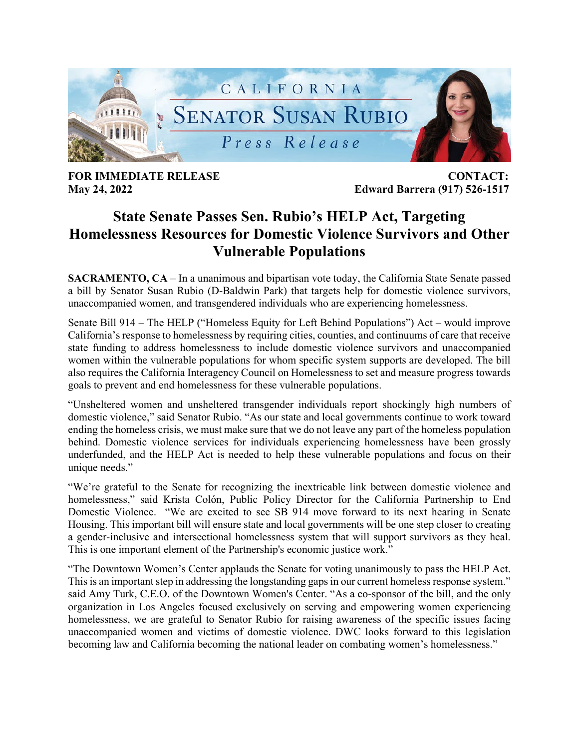

**FOR IMMEDIATE RELEASE CONTACT:** 

**May 24, 2022 Edward Barrera (917) 526-1517**

## **State Senate Passes Sen. Rubio's HELP Act, Targeting Homelessness Resources for Domestic Violence Survivors and Other Vulnerable Populations**

**SACRAMENTO, CA** – In a unanimous and bipartisan vote today, the California State Senate passed a bill by Senator Susan Rubio (D-Baldwin Park) that targets help for domestic violence survivors, unaccompanied women, and transgendered individuals who are experiencing homelessness.

Senate Bill 914 – The HELP ("Homeless Equity for Left Behind Populations") Act – would improve California's response to homelessness by requiring cities, counties, and continuums of care that receive state funding to address homelessness to include domestic violence survivors and unaccompanied women within the vulnerable populations for whom specific system supports are developed. The bill also requires the California Interagency Council on Homelessness to set and measure progress towards goals to prevent and end homelessness for these vulnerable populations.

"Unsheltered women and unsheltered transgender individuals report shockingly high numbers of domestic violence," said Senator Rubio. "As our state and local governments continue to work toward ending the homeless crisis, we must make sure that we do not leave any part of the homeless population behind. Domestic violence services for individuals experiencing homelessness have been grossly underfunded, and the HELP Act is needed to help these vulnerable populations and focus on their unique needs."

"We're grateful to the Senate for recognizing the inextricable link between domestic violence and homelessness," said Krista Colón, Public Policy Director for the California Partnership to End Domestic Violence. "We are excited to see SB 914 move forward to its next hearing in Senate Housing. This important bill will ensure state and local governments will be one step closer to creating a gender-inclusive and intersectional homelessness system that will support survivors as they heal. This is one important element of the Partnership's economic justice work."

"The Downtown Women's Center applauds the Senate for voting unanimously to pass the HELP Act. This is an important step in addressing the longstanding gaps in our current homeless response system." said Amy Turk, C.E.O. of the Downtown Women's Center. "As a co-sponsor of the bill, and the only organization in Los Angeles focused exclusively on serving and empowering women experiencing homelessness, we are grateful to Senator Rubio for raising awareness of the specific issues facing unaccompanied women and victims of domestic violence. DWC looks forward to this legislation becoming law and California becoming the national leader on combating women's homelessness."